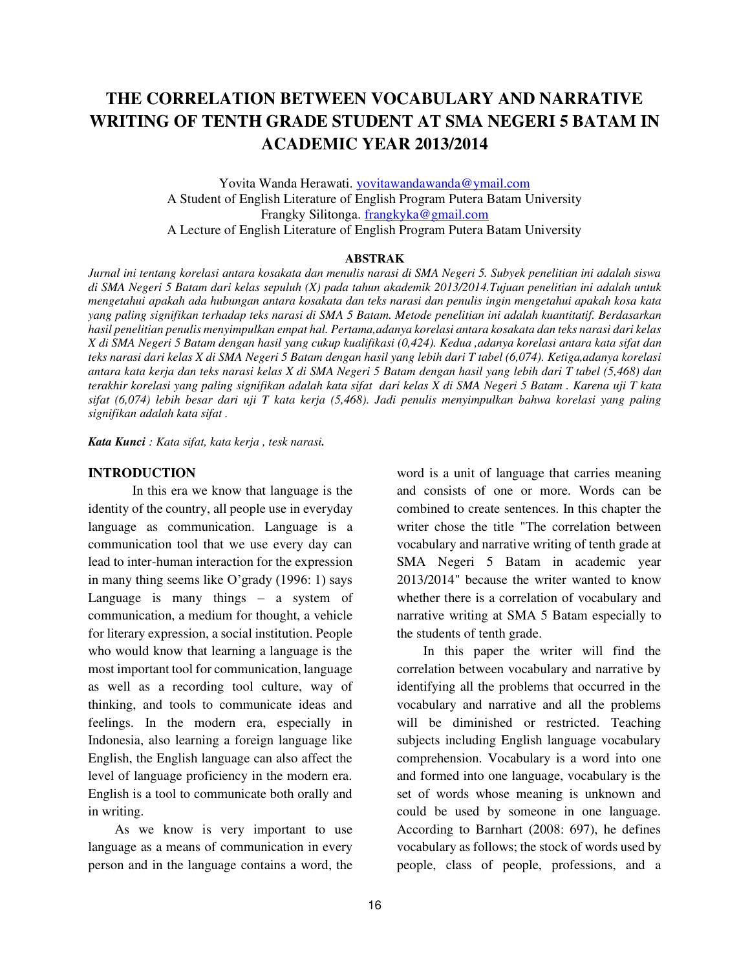# **THE CORRELATION BETWEEN VOCABULARY AND NARRATIVE WRITING OF TENTH GRADE STUDENT AT SMA NEGERI 5 BATAM IN ACADEMIC YEAR 2013/2014**

Yovita Wanda Herawati. [yovitawandawanda@ymail.com](mailto:yovitawandawanda@ymail.com) A Student of English Literature of English Program Putera Batam University Frangky Silitonga. [frangkyka@gmail.com](mailto:frangkyka@gmail.com) A Lecture of English Literature of English Program Putera Batam University

#### **ABSTRAK**

*Jurnal ini tentang korelasi antara kosakata dan menulis narasi di SMA Negeri 5. Subyek penelitian ini adalah siswa di SMA Negeri 5 Batam dari kelas sepuluh (X) pada tahun akademik 2013/2014.Tujuan penelitian ini adalah untuk mengetahui apakah ada hubungan antara kosakata dan teks narasi dan penulis ingin mengetahui apakah kosa kata yang paling signifikan terhadap teks narasi di SMA 5 Batam. Metode penelitian ini adalah kuantitatif. Berdasarkan hasil penelitian penulis menyimpulkan empat hal. Pertama,adanya korelasi antara kosakata dan teks narasi dari kelas X di SMA Negeri 5 Batam dengan hasil yang cukup kualifikasi (0,424). Kedua ,adanya korelasi antara kata sifat dan teks narasi dari kelas X di SMA Negeri 5 Batam dengan hasil yang lebih dari T tabel (6,074). Ketiga,adanya korelasi antara kata kerja dan teks narasi kelas X di SMA Negeri 5 Batam dengan hasil yang lebih dari T tabel (5,468) dan terakhir korelasi yang paling signifikan adalah kata sifat dari kelas X di SMA Negeri 5 Batam . Karena uji T kata sifat (6,074) lebih besar dari uji T kata kerja (5,468). Jadi penulis menyimpulkan bahwa korelasi yang paling signifikan adalah kata sifat .* 

*Kata Kunci : Kata sifat, kata kerja , tesk narasi.* 

#### **INTRODUCTION**

In this era we know that language is the identity of the country, all people use in everyday language as communication. Language is a communication tool that we use every day can lead to inter-human interaction for the expression in many thing seems like O'grady (1996: 1) says Language is many things – a system of communication, a medium for thought, a vehicle for literary expression, a social institution. People who would know that learning a language is the most important tool for communication, language as well as a recording tool culture, way of thinking, and tools to communicate ideas and feelings. In the modern era, especially in Indonesia, also learning a foreign language like English, the English language can also affect the level of language proficiency in the modern era. English is a tool to communicate both orally and in writing.

As we know is very important to use language as a means of communication in every person and in the language contains a word, the word is a unit of language that carries meaning and consists of one or more. Words can be combined to create sentences. In this chapter the writer chose the title "The correlation between vocabulary and narrative writing of tenth grade at SMA Negeri 5 Batam in academic year 2013/2014" because the writer wanted to know whether there is a correlation of vocabulary and narrative writing at SMA 5 Batam especially to the students of tenth grade.

In this paper the writer will find the correlation between vocabulary and narrative by identifying all the problems that occurred in the vocabulary and narrative and all the problems will be diminished or restricted. Teaching subjects including English language vocabulary comprehension. Vocabulary is a word into one and formed into one language, vocabulary is the set of words whose meaning is unknown and could be used by someone in one language. According to Barnhart (2008: 697), he defines vocabulary as follows; the stock of words used by people, class of people, professions, and a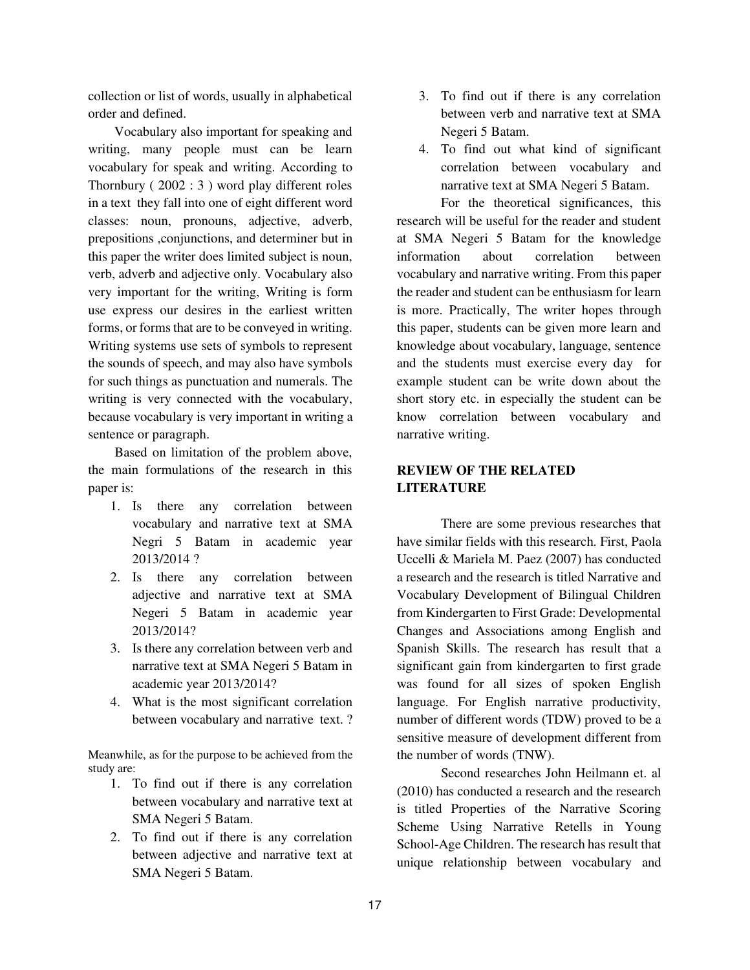collection or list of words, usually in alphabetical order and defined.

Vocabulary also important for speaking and writing, many people must can be learn vocabulary for speak and writing. According to Thornbury ( 2002 : 3 ) word play different roles in a text they fall into one of eight different word classes: noun, pronouns, adjective, adverb, prepositions ,conjunctions, and determiner but in this paper the writer does limited subject is noun, verb, adverb and adjective only. Vocabulary also very important for the writing, Writing is form use express our desires in the earliest written forms, or forms that are to be conveyed in writing. Writing systems use sets of symbols to represent the sounds of speech, and may also have symbols for such things as punctuation and numerals. The writing is very connected with the vocabulary, because vocabulary is very important in writing a sentence or paragraph.

Based on limitation of the problem above, the main formulations of the research in this paper is:

- 1. Is there any correlation between vocabulary and narrative text at SMA Negri 5 Batam in academic year 2013/2014 ?
- 2. Is there any correlation between adjective and narrative text at SMA Negeri 5 Batam in academic year 2013/2014?
- 3. Is there any correlation between verb and narrative text at SMA Negeri 5 Batam in academic year 2013/2014?
- 4. What is the most significant correlation between vocabulary and narrative text. ?

Meanwhile, as for the purpose to be achieved from the study are:

- 1. To find out if there is any correlation between vocabulary and narrative text at SMA Negeri 5 Batam.
- 2. To find out if there is any correlation between adjective and narrative text at SMA Negeri 5 Batam.
- 3. To find out if there is any correlation between verb and narrative text at SMA Negeri 5 Batam.
- 4. To find out what kind of significant correlation between vocabulary and narrative text at SMA Negeri 5 Batam.

For the theoretical significances, this research will be useful for the reader and student at SMA Negeri 5 Batam for the knowledge information about correlation between vocabulary and narrative writing. From this paper the reader and student can be enthusiasm for learn is more. Practically, The writer hopes through this paper, students can be given more learn and knowledge about vocabulary, language, sentence and the students must exercise every day for example student can be write down about the short story etc. in especially the student can be know correlation between vocabulary and narrative writing.

### **REVIEW OF THE RELATED LITERATURE**

There are some previous researches that have similar fields with this research. First, Paola Uccelli & Mariela M. Paez (2007) has conducted a research and the research is titled Narrative and Vocabulary Development of Bilingual Children from Kindergarten to First Grade: Developmental Changes and Associations among English and Spanish Skills. The research has result that a significant gain from kindergarten to first grade was found for all sizes of spoken English language. For English narrative productivity, number of different words (TDW) proved to be a sensitive measure of development different from the number of words (TNW).

Second researches John Heilmann et. al (2010) has conducted a research and the research is titled Properties of the Narrative Scoring Scheme Using Narrative Retells in Young School-Age Children. The research has result that unique relationship between vocabulary and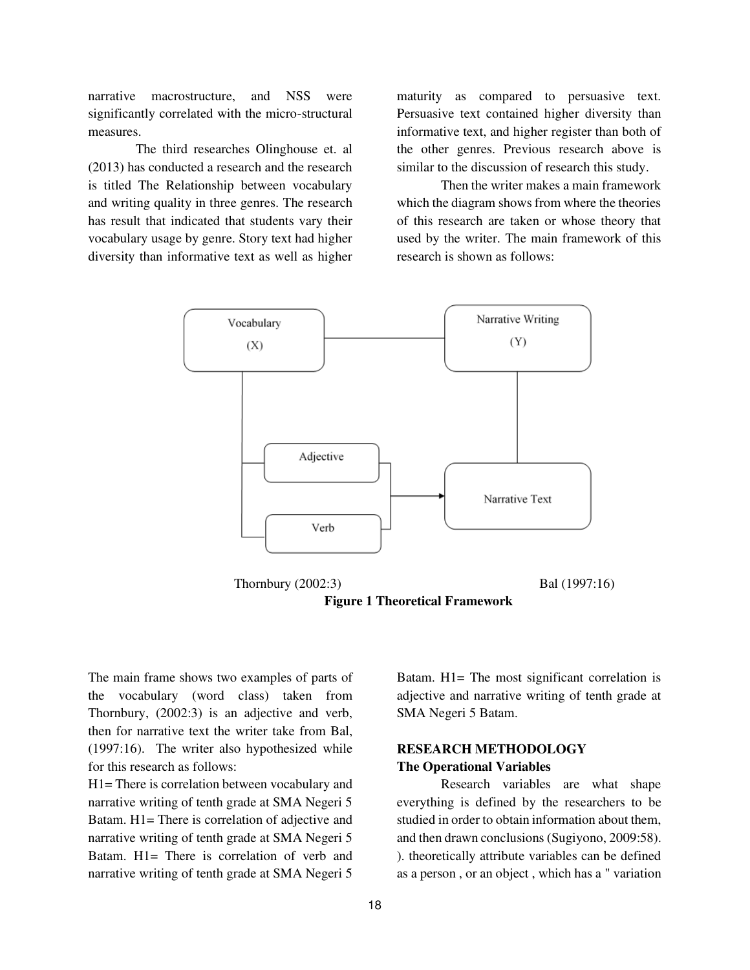narrative macrostructure, and NSS were significantly correlated with the micro-structural measures.

 The third researches Olinghouse et. al (2013) has conducted a research and the research is titled The Relationship between vocabulary and writing quality in three genres. The research has result that indicated that students vary their vocabulary usage by genre. Story text had higher diversity than informative text as well as higher

maturity as compared to persuasive text. Persuasive text contained higher diversity than informative text, and higher register than both of the other genres. Previous research above is similar to the discussion of research this study.

Then the writer makes a main framework which the diagram shows from where the theories of this research are taken or whose theory that used by the writer. The main framework of this research is shown as follows:



**Figure 1 Theoretical Framework** 

The main frame shows two examples of parts of the vocabulary (word class) taken from Thornbury, (2002:3) is an adjective and verb, then for narrative text the writer take from Bal, (1997:16). The writer also hypothesized while for this research as follows:

H1= There is correlation between vocabulary and narrative writing of tenth grade at SMA Negeri 5 Batam. H1= There is correlation of adjective and narrative writing of tenth grade at SMA Negeri 5 Batam. H1= There is correlation of verb and narrative writing of tenth grade at SMA Negeri 5

Batam. H1= The most significant correlation is adjective and narrative writing of tenth grade at SMA Negeri 5 Batam.

### **RESEARCH METHODOLOGY The Operational Variables**

Research variables are what shape everything is defined by the researchers to be studied in order to obtain information about them, and then drawn conclusions (Sugiyono, 2009:58). ). theoretically attribute variables can be defined as a person , or an object , which has a " variation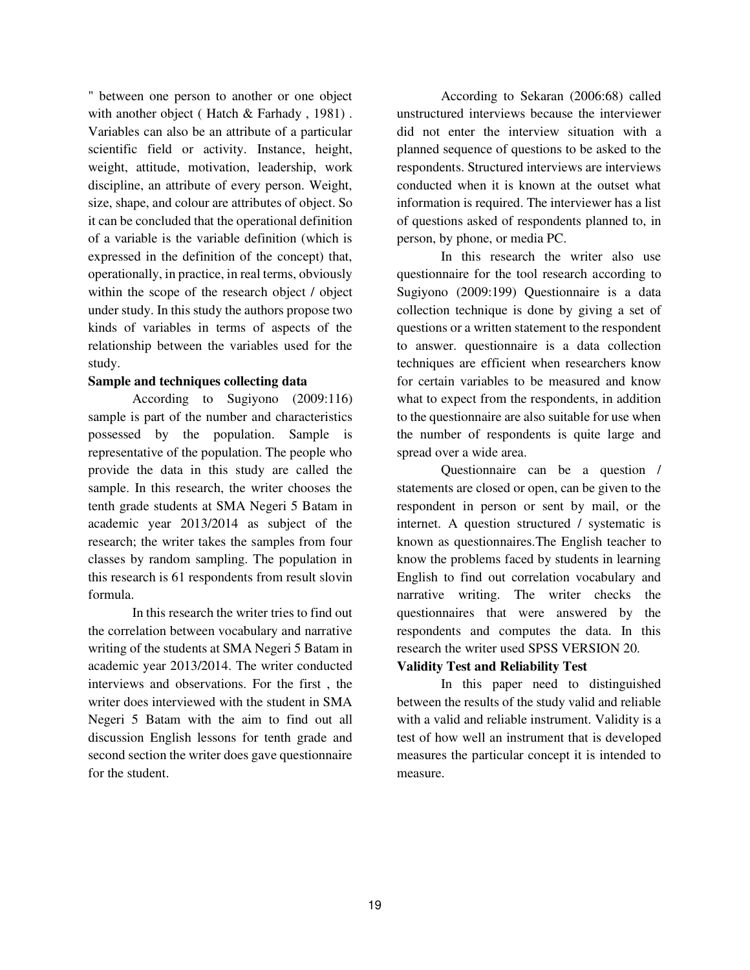" between one person to another or one object with another object (Hatch & Farhady, 1981). Variables can also be an attribute of a particular scientific field or activity. Instance, height, weight, attitude, motivation, leadership, work discipline, an attribute of every person. Weight, size, shape, and colour are attributes of object. So it can be concluded that the operational definition of a variable is the variable definition (which is expressed in the definition of the concept) that, operationally, in practice, in real terms, obviously within the scope of the research object / object under study. In this study the authors propose two kinds of variables in terms of aspects of the relationship between the variables used for the study.

### **Sample and techniques collecting data**

According to Sugiyono (2009:116) sample is part of the number and characteristics possessed by the population. Sample is representative of the population. The people who provide the data in this study are called the sample. In this research, the writer chooses the tenth grade students at SMA Negeri 5 Batam in academic year 2013/2014 as subject of the research; the writer takes the samples from four classes by random sampling. The population in this research is 61 respondents from result slovin formula.

In this research the writer tries to find out the correlation between vocabulary and narrative writing of the students at SMA Negeri 5 Batam in academic year 2013/2014. The writer conducted interviews and observations. For the first , the writer does interviewed with the student in SMA Negeri 5 Batam with the aim to find out all discussion English lessons for tenth grade and second section the writer does gave questionnaire for the student.

According to Sekaran (2006:68) called unstructured interviews because the interviewer did not enter the interview situation with a planned sequence of questions to be asked to the respondents. Structured interviews are interviews conducted when it is known at the outset what information is required. The interviewer has a list of questions asked of respondents planned to, in person, by phone, or media PC.

In this research the writer also use questionnaire for the tool research according to Sugiyono (2009:199) Questionnaire is a data collection technique is done by giving a set of questions or a written statement to the respondent to answer. questionnaire is a data collection techniques are efficient when researchers know for certain variables to be measured and know what to expect from the respondents, in addition to the questionnaire are also suitable for use when the number of respondents is quite large and spread over a wide area.

Questionnaire can be a question / statements are closed or open, can be given to the respondent in person or sent by mail, or the internet. A question structured / systematic is known as questionnaires.The English teacher to know the problems faced by students in learning English to find out correlation vocabulary and narrative writing. The writer checks the questionnaires that were answered by the respondents and computes the data. In this research the writer used SPSS VERSION 20.

### **Validity Test and Reliability Test**

In this paper need to distinguished between the results of the study valid and reliable with a valid and reliable instrument. Validity is a test of how well an instrument that is developed measures the particular concept it is intended to measure.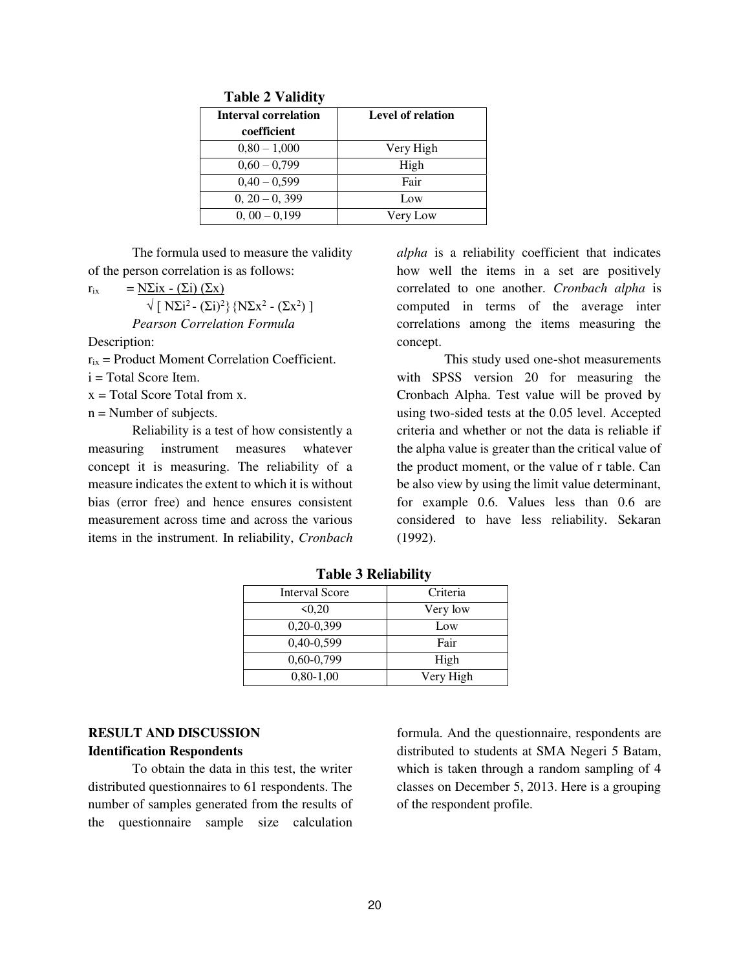| <b>Interval correlation</b> | <b>Level of relation</b> |  |  |
|-----------------------------|--------------------------|--|--|
| coefficient                 |                          |  |  |
| $0.80 - 1.000$              | Very High                |  |  |
| $0,60 - 0,799$              | High                     |  |  |
| $0,40 - 0,599$              | Fair                     |  |  |
| $0, 20 - 0, 399$            | Low                      |  |  |
| $0, 00 - 0, 199$            | Very Low                 |  |  |

 **Table 2 Validity** 

The formula used to measure the validity of the person correlation is as follows:

 $r_{ix}$  = N $\sum$ ix - ( $\sum$ i) ( $\sum$ x)  $\sqrt{\left[N\Sigma i^2-(\Sigma i)^2\right]\left[N\Sigma x^2-(\Sigma x^2)\right]}$ *Pearson Correlation Formula* 

Description:

 $r_{ix}$  = Product Moment Correlation Coefficient.

i = Total Score Item.

 $x = \text{Total Score Total from } x$ .

 $n =$  Number of subjects.

Reliability is a test of how consistently a measuring instrument measures whatever concept it is measuring. The reliability of a measure indicates the extent to which it is without bias (error free) and hence ensures consistent measurement across time and across the various items in the instrument. In reliability, *Cronbach*  *alpha* is a reliability coefficient that indicates how well the items in a set are positively correlated to one another. *Cronbach alpha* is computed in terms of the average inter correlations among the items measuring the concept.

 This study used one-shot measurements with SPSS version 20 for measuring the Cronbach Alpha. Test value will be proved by using two-sided tests at the 0.05 level. Accepted criteria and whether or not the data is reliable if the alpha value is greater than the critical value of the product moment, or the value of r table. Can be also view by using the limit value determinant, for example 0.6. Values less than 0.6 are considered to have less reliability. Sekaran (1992).

| <b>Interval Score</b> | Criteria  |
|-----------------------|-----------|
| 50,20                 | Very low  |
| $0,20-0,399$          | Low       |
| 0,40-0,599            | Fair      |
| $0.60 - 0.799$        | High      |
| $0,80-1,00$           | Very High |

**Table 3 Reliability** 

# **RESULT AND DISCUSSION Identification Respondents**

To obtain the data in this test, the writer distributed questionnaires to 61 respondents. The number of samples generated from the results of the questionnaire sample size calculation formula. And the questionnaire, respondents are distributed to students at SMA Negeri 5 Batam, which is taken through a random sampling of 4 classes on December 5, 2013. Here is a grouping of the respondent profile.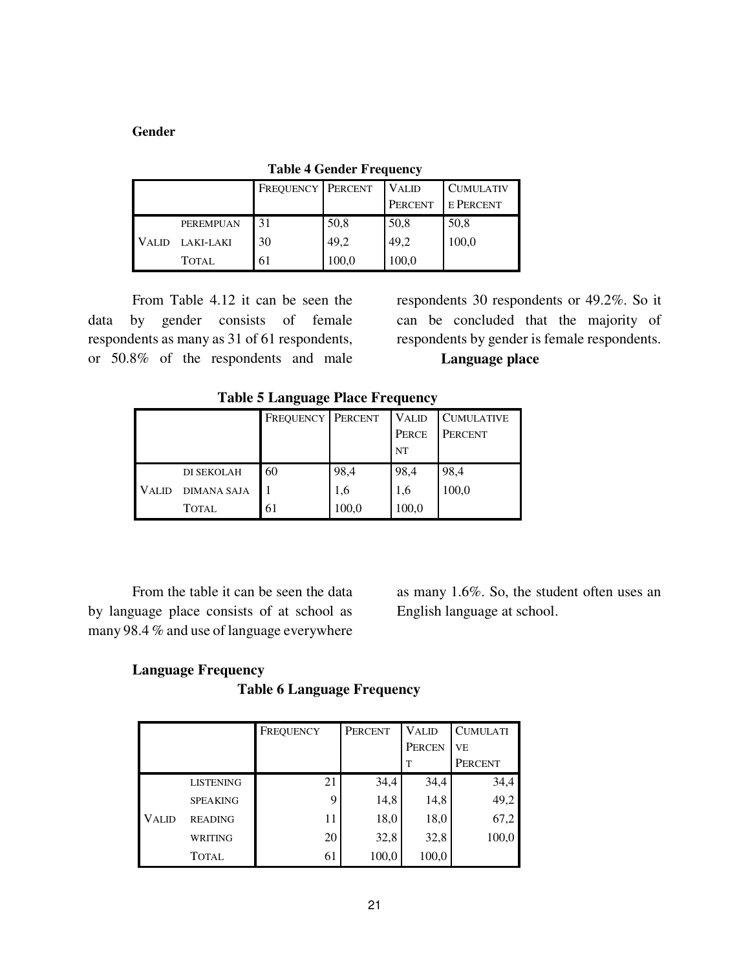### **Gender**

|  |                  | <b>FREQUENCY PERCENT</b> |       | <b>VALID</b> | <b>CUMULATIV</b> |
|--|------------------|--------------------------|-------|--------------|------------------|
|  |                  |                          |       | PERCENT      | <b>E PERCENT</b> |
|  | <b>PEREMPUAN</b> | 31                       | 50,8  | 50,8         | 50,8             |
|  | VALID LAKI-LAKI  | 30                       | 49.2  | 49,2         | 100,0            |
|  | <b>TOTAL</b>     | 61                       | 100,0 | 100,0        |                  |

**Table 4 Gender Frequency** 

From Table 4.12 it can be seen the data by gender consists of female respondents as many as 31 of 61 respondents, or 50.8% of the respondents and male

respondents 30 respondents or 49.2%. So it can be concluded that the majority of respondents by gender is female respondents.

# **Language place**

**Table 5 Language Place Frequency** 

|              |                    | <b>FREQUENCY PERCENT</b> |       | <b>VALID</b> | <b>CUMULATIVE</b> |
|--------------|--------------------|--------------------------|-------|--------------|-------------------|
|              |                    |                          |       | PERCE        | PERCENT           |
|              |                    |                          |       | NT           |                   |
|              | DI SEKOLAH         | 60                       | 98,4  | 98,4         | 98,4              |
| <b>VALID</b> | <b>DIMANA SAJA</b> |                          | 1,6   | 1,6          | 100,0             |
|              | <b>TOTAL</b>       | 61                       | 100,0 | 100,0        |                   |

From the table it can be seen the data by language place consists of at school as many 98.4 % and use of language everywhere

as many 1.6%. So, the student often uses an English language at school.

# **Language Frequency Table 6 Language Frequency**

|              |                  | FREQUENCY | <b>PERCENT</b> | <b>VALID</b><br>PERCEN | <b>CUMULATI</b><br>V <sub>E</sub> |
|--------------|------------------|-----------|----------------|------------------------|-----------------------------------|
|              |                  |           |                | T                      | PERCENT                           |
|              | <b>LISTENING</b> | 21        | 34,4           | 34,4                   | 34,4                              |
|              | <b>SPEAKING</b>  | 9         | 14,8           | 14,8                   | 49,2                              |
| <b>VALID</b> | <b>READING</b>   | 11        | 18,0           | 18,0                   | 67,2                              |
|              | <b>WRITING</b>   | 20        | 32,8           | 32,8                   | 100,0                             |
|              | <b>TOTAL</b>     | 61        | 100,0          | 100,0                  |                                   |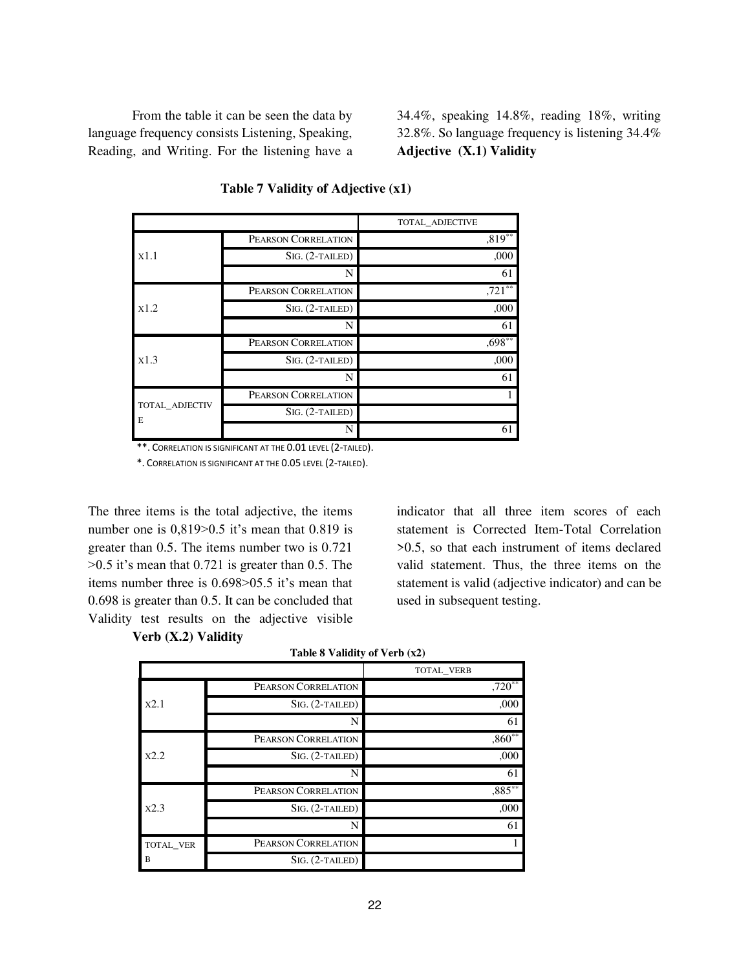From the table it can be seen the data by language frequency consists Listening, Speaking, Reading, and Writing. For the listening have a 34.4%, speaking 14.8%, reading 18%, writing 32.8%. So language frequency is listening 34.4% **Adjective (X.1) Validity** 

|                     |                     | TOTAL ADJECTIVE |
|---------------------|---------------------|-----------------|
|                     | PEARSON CORRELATION | $,819**$        |
| x1.1                | $SIG. (2-TAILED)$   | ,000            |
|                     | N                   | 61              |
|                     | PEARSON CORRELATION | $,721**$        |
| x1.2                | SIG. (2-TAILED)     | ,000            |
|                     | N                   | 61              |
|                     | PEARSON CORRELATION | $,698***$       |
| x1.3                | $SIG. (2-TAILED)$   | ,000            |
|                     | N                   | 61              |
|                     | PEARSON CORRELATION |                 |
| TOTAL ADJECTIV<br>E | $SIG. (2-TAILED)$   |                 |
|                     | N                   | 61              |

#### **Table 7 Validity of Adjective (x1)**

\*\*. CORRELATION IS SIGNIFICANT AT THE 0.01 LEVEL (2-TAILED).

\*. CORRELATION IS SIGNIFICANT AT THE 0.05 LEVEL (2-TAILED).

The three items is the total adjective, the items number one is 0,819>0.5 it's mean that 0.819 is greater than 0.5. The items number two is 0.721  $>0.5$  it's mean that 0.721 is greater than 0.5. The items number three is 0.698>05.5 it's mean that 0.698 is greater than 0.5. It can be concluded that Validity test results on the adjective visible indicator that all three item scores of each statement is Corrected Item-Total Correlation >0.5, so that each instrument of items declared valid statement. Thus, the three items on the statement is valid (adjective indicator) and can be used in subsequent testing.

**Verb (X.2) Validity**

|           |                     | TOTAL VERB           |
|-----------|---------------------|----------------------|
|           | PEARSON CORRELATION | $,720**$             |
| x2.1      | $SIG. (2-TAILED)$   | ,000                 |
|           | N                   | 61                   |
|           | PEARSON CORRELATION | $,860$ <sup>**</sup> |
| X2.2      | $SIG. (2-TAILED)$   | ,000                 |
|           | N                   | 61                   |
|           | PEARSON CORRELATION | $,885***$            |
| X2.3      | $SIG. (2-TAILED)$   | ,000                 |
|           | N                   | 61                   |
| TOTAL VER | PEARSON CORRELATION |                      |
| B         | $SIG. (2-TAILED)$   |                      |

| Table 8 Validity of Verb (x2) |  |  |
|-------------------------------|--|--|
|-------------------------------|--|--|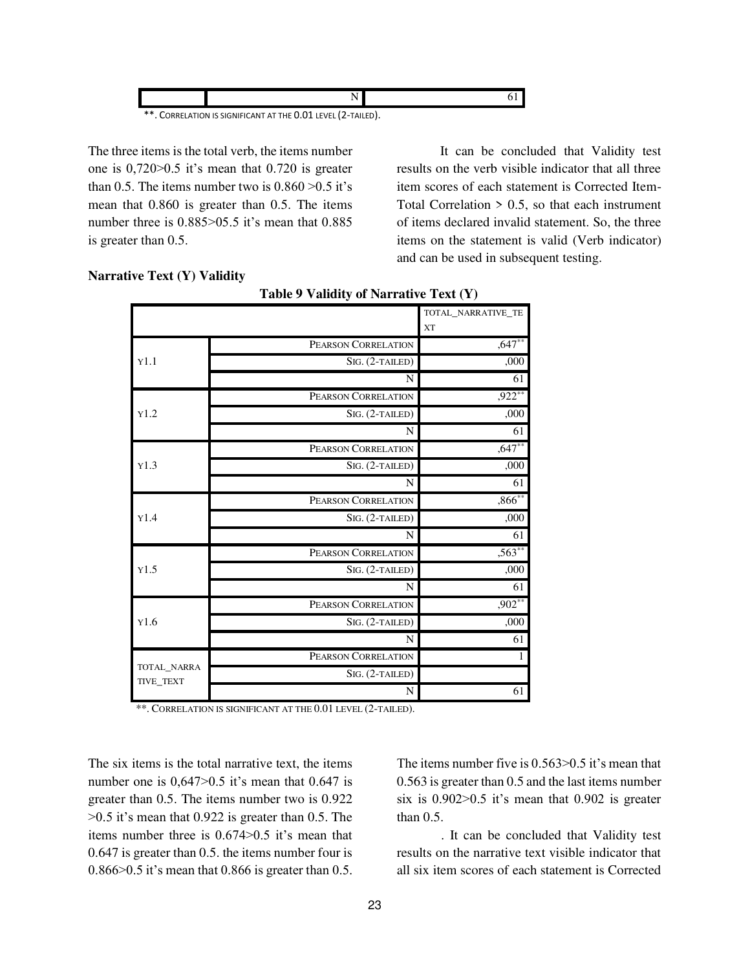| ** | CORRELATION IS SIGNIFICANT AT THE 0.01 LEVEL (2-TAILED). |  |
|----|----------------------------------------------------------|--|

The three items is the total verb, the items number one is 0,720>0.5 it's mean that 0.720 is greater than 0.5. The items number two is  $0.860 > 0.5$  it's mean that 0.860 is greater than 0.5. The items number three is  $0.885 > 05.5$  it's mean that  $0.885$ is greater than 0.5.

 It can be concluded that Validity test results on the verb visible indicator that all three item scores of each statement is Corrected Item-Total Correlation  $> 0.5$ , so that each instrument of items declared invalid statement. So, the three items on the statement is valid (Verb indicator) and can be used in subsequent testing.

| Table 9 Validity of Narrative Text (Y) |                     |                                 |
|----------------------------------------|---------------------|---------------------------------|
|                                        |                     | TOTAL NARRATIVE TE<br><b>XT</b> |
|                                        | PEARSON CORRELATION | $,647**$                        |
| Y1.1                                   | SIG. (2-TAILED)     | ,000                            |
|                                        | N                   | 61                              |
|                                        | PEARSON CORRELATION | $,922***$                       |
| Y1.2                                   | $SIG. (2-TAILED)$   | ,000                            |
|                                        | N                   | 61                              |
|                                        | PEARSON CORRELATION | $,647***$                       |
| Y1.3                                   | SIG. (2-TAILED)     | ,000                            |
|                                        | N                   | 61                              |
|                                        | PEARSON CORRELATION | $,866***$                       |
| Y1.4                                   | SIG. (2-TAILED)     | ,000                            |
|                                        | N                   | 61                              |
|                                        | PEARSON CORRELATION | $,563***$                       |
| Y1.5                                   | $SIG. (2-TAILED)$   | ,000                            |
|                                        | N                   | $6\overline{1}$                 |
|                                        | PEARSON CORRELATION | $,902**$                        |
| Y1.6                                   | SIG. (2-TAILED)     | ,000                            |
|                                        | N                   | 61                              |
|                                        | PEARSON CORRELATION | $\mathbf{1}$                    |
| TOTAL NARRA<br>TIVE TEXT               | $SIG. (2-TAILED)$   |                                 |
|                                        | N                   | 61                              |

# **Narrative Text (Y) Validity**

\*\*. CORRELATION IS SIGNIFICANT AT THE 0.01 LEVEL (2-TAILED).

The six items is the total narrative text, the items number one is 0,647>0.5 it's mean that 0.647 is greater than 0.5. The items number two is 0.922  $>0.5$  it's mean that 0.922 is greater than 0.5. The items number three is 0.674>0.5 it's mean that 0.647 is greater than 0.5. the items number four is 0.866>0.5 it's mean that 0.866 is greater than 0.5. The items number five is 0.563>0.5 it's mean that 0.563 is greater than 0.5 and the last items number six is  $0.902 > 0.5$  it's mean that  $0.902$  is greater than 0.5.

. It can be concluded that Validity test results on the narrative text visible indicator that all six item scores of each statement is Corrected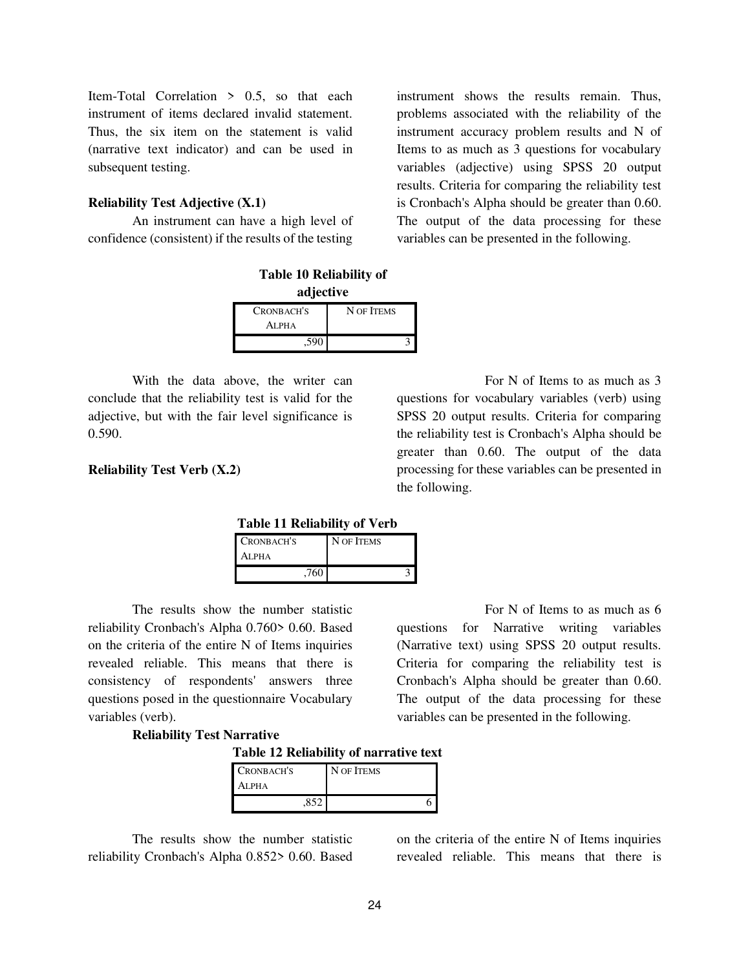Item-Total Correlation > 0.5, so that each instrument of items declared invalid statement. Thus, the six item on the statement is valid (narrative text indicator) and can be used in subsequent testing.

#### **Reliability Test Adjective (X.1)**

An instrument can have a high level of confidence (consistent) if the results of the testing

| <b>Table 10 Reliability of</b> |            |  |  |
|--------------------------------|------------|--|--|
| adjective                      |            |  |  |
| CRONBACH'S                     | N OF ITEMS |  |  |
| ALPHA<br>.590                  |            |  |  |

With the data above, the writer can conclude that the reliability test is valid for the adjective, but with the fair level significance is 0.590.

### **Reliability Test Verb (X.2)**

instrument shows the results remain. Thus, problems associated with the reliability of the instrument accuracy problem results and N of Items to as much as 3 questions for vocabulary variables (adjective) using SPSS 20 output results. Criteria for comparing the reliability test is Cronbach's Alpha should be greater than 0.60. The output of the data processing for these variables can be presented in the following.

 For N of Items to as much as 3 questions for vocabulary variables (verb) using SPSS 20 output results. Criteria for comparing the reliability test is Cronbach's Alpha should be greater than 0.60. The output of the data processing for these variables can be presented in the following.

questions for Narrative writing variables (Narrative text) using SPSS 20 output results. Criteria for comparing the reliability test is Cronbach's Alpha should be greater than 0.60. The output of the data processing for these variables can be presented in the following.

For N of Items to as much as 6

 **Table 11 Reliability of Verb** 

| CRONBACH'S | N OF ITEMS |
|------------|------------|
| ALPHA      |            |
| ,760       |            |

The results show the number statistic reliability Cronbach's Alpha 0.760> 0.60. Based on the criteria of the entire N of Items inquiries revealed reliable. This means that there is consistency of respondents' answers three questions posed in the questionnaire Vocabulary variables (verb).

### **Reliability Test Narrative**

**Table 12 Reliability of narrative text** 

| CRONBACH'S    | N OF ITEMS |
|---------------|------------|
| Alpha         |            |
| $.85^{\circ}$ |            |

The results show the number statistic reliability Cronbach's Alpha 0.852> 0.60. Based on the criteria of the entire N of Items inquiries revealed reliable. This means that there is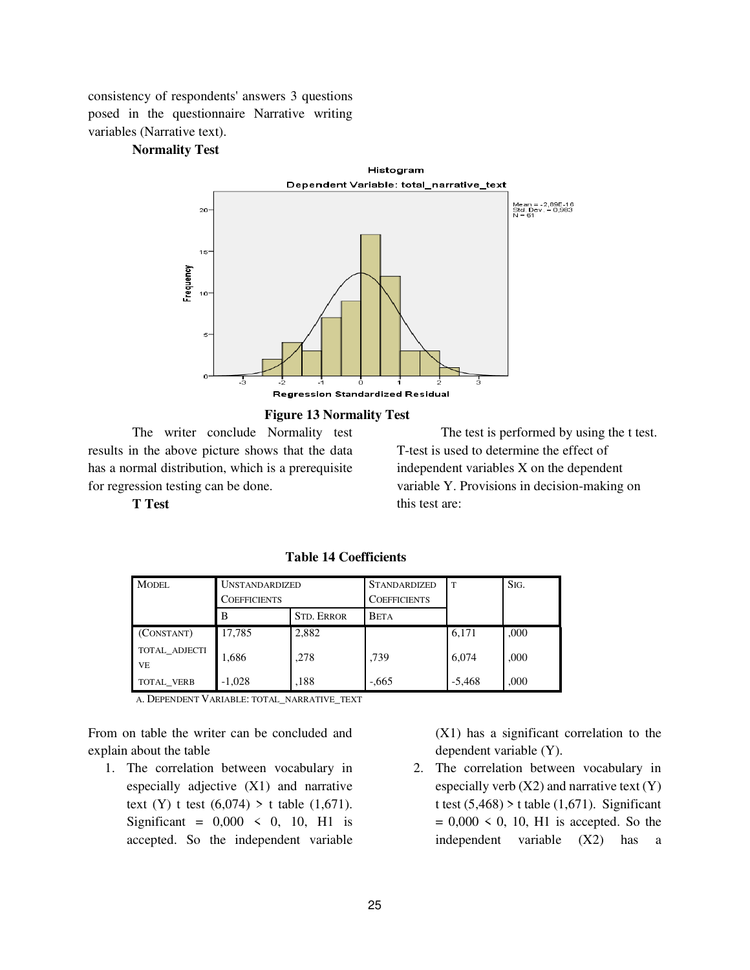consistency of respondents' answers 3 questions posed in the questionnaire Narrative writing variables (Narrative text).

### **Normality Test**



#### **Figure 13 Normality Test**

The writer conclude Normality test results in the above picture shows that the data has a normal distribution, which is a prerequisite for regression testing can be done.

The test is performed by using the t test. T-test is used to determine the effect of independent variables X on the dependent variable Y. Provisions in decision-making on this test are:

**T Test** 

| <b>MODEL</b>        | <b>UNSTANDARDIZED</b> |                   | <b>STANDARDIZED</b> | . T      | SIG. |
|---------------------|-----------------------|-------------------|---------------------|----------|------|
|                     | COEFFICIENTS          |                   | <b>COEFFICIENTS</b> |          |      |
|                     | B                     | <b>STD. ERROR</b> | <b>BETA</b>         |          |      |
| (CONSTANT)          | 17,785                | 2,882             |                     | 6,171    | ,000 |
| TOTAL ADJECTI<br>VE | 1,686                 | .278              | .739                | 6.074    | ,000 |
| TOTAL VERB          | $-1.028$              | ,188              | $-0.665$            | $-5,468$ | ,000 |

**Table 14 Coefficients**

A. DEPENDENT VARIABLE: TOTAL\_NARRATIVE\_TEXT

From on table the writer can be concluded and explain about the table

1. The correlation between vocabulary in especially adjective (X1) and narrative text (Y) t test  $(6,074) > t$  table  $(1,671)$ . Significant =  $0,000 \le 0, 10, H1$  is accepted. So the independent variable

(X1) has a significant correlation to the dependent variable (Y).

2. The correlation between vocabulary in especially verb  $(X2)$  and narrative text  $(Y)$ t test  $(5,468)$  > t table  $(1,671)$ . Significant  $= 0,000 \le 0, 10, H1$  is accepted. So the independent variable (X2) has a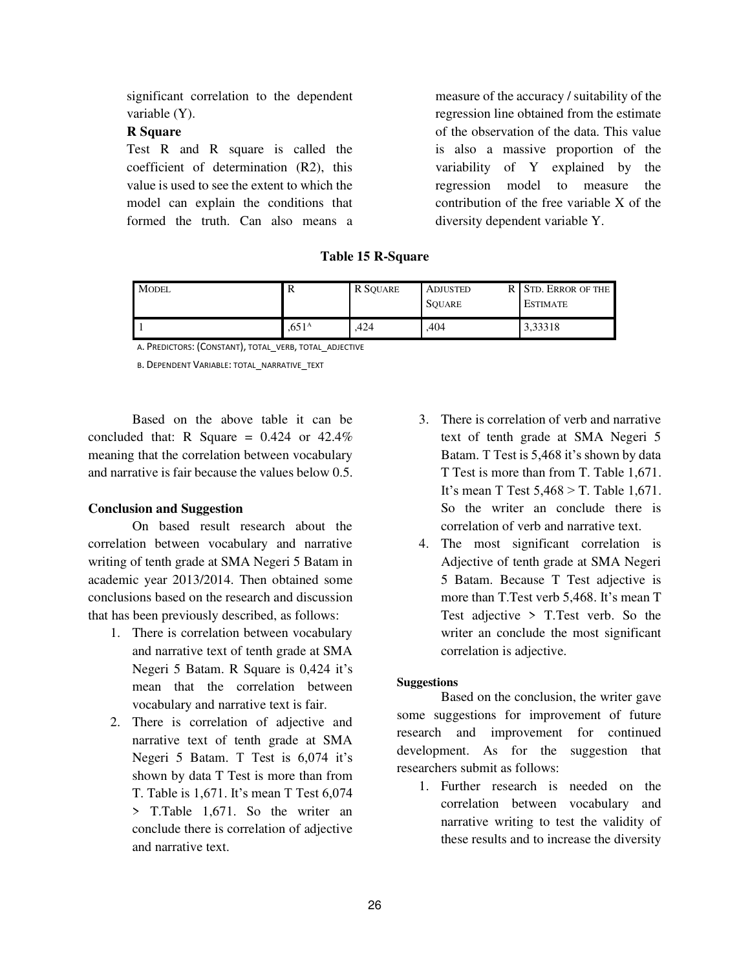significant correlation to the dependent variable (Y).

### **R Square**

Test R and R square is called the coefficient of determination (R2), this value is used to see the extent to which the model can explain the conditions that formed the truth. Can also means a measure of the accuracy / suitability of the regression line obtained from the estimate of the observation of the data. This value is also a massive proportion of the variability of Y explained by the regression model to measure the contribution of the free variable X of the diversity dependent variable Y.

**Table 15 R-Square** 

| <b>MODEL</b> | л                 | R SOUARE | <b>ADJUSTED</b><br><b>SOUARE</b> | R STD. ERROR OF THE<br><b>ESTIMATE</b> |
|--------------|-------------------|----------|----------------------------------|----------------------------------------|
|              | .651 <sup>A</sup> | .424     | .404                             | 3,33318                                |

A. PREDICTORS: (CONSTANT), TOTAL\_VERB, TOTAL\_ADJECTIVE

B. DEPENDENT VARIABLE: TOTAL\_NARRATIVE\_TEXT

Based on the above table it can be concluded that: R Square =  $0.424$  or  $42.4\%$ meaning that the correlation between vocabulary and narrative is fair because the values below 0.5.

## **Conclusion and Suggestion**

On based result research about the correlation between vocabulary and narrative writing of tenth grade at SMA Negeri 5 Batam in academic year 2013/2014. Then obtained some conclusions based on the research and discussion that has been previously described, as follows:

- 1. There is correlation between vocabulary and narrative text of tenth grade at SMA Negeri 5 Batam. R Square is 0,424 it's mean that the correlation between vocabulary and narrative text is fair.
- 2. There is correlation of adjective and narrative text of tenth grade at SMA Negeri 5 Batam. T Test is 6,074 it's shown by data T Test is more than from T. Table is 1,671. It's mean T Test 6,074 > T.Table 1,671. So the writer an conclude there is correlation of adjective and narrative text.
- 3. There is correlation of verb and narrative text of tenth grade at SMA Negeri 5 Batam. T Test is 5,468 it's shown by data T Test is more than from T. Table 1,671. It's mean T Test 5,468 > T. Table 1,671. So the writer an conclude there is correlation of verb and narrative text.
- 4. The most significant correlation is Adjective of tenth grade at SMA Negeri 5 Batam. Because T Test adjective is more than T.Test verb 5,468. It's mean T Test adjective > T.Test verb. So the writer an conclude the most significant correlation is adjective.

#### **Suggestions**

Based on the conclusion, the writer gave some suggestions for improvement of future research and improvement for continued development. As for the suggestion that researchers submit as follows:

1. Further research is needed on the correlation between vocabulary and narrative writing to test the validity of these results and to increase the diversity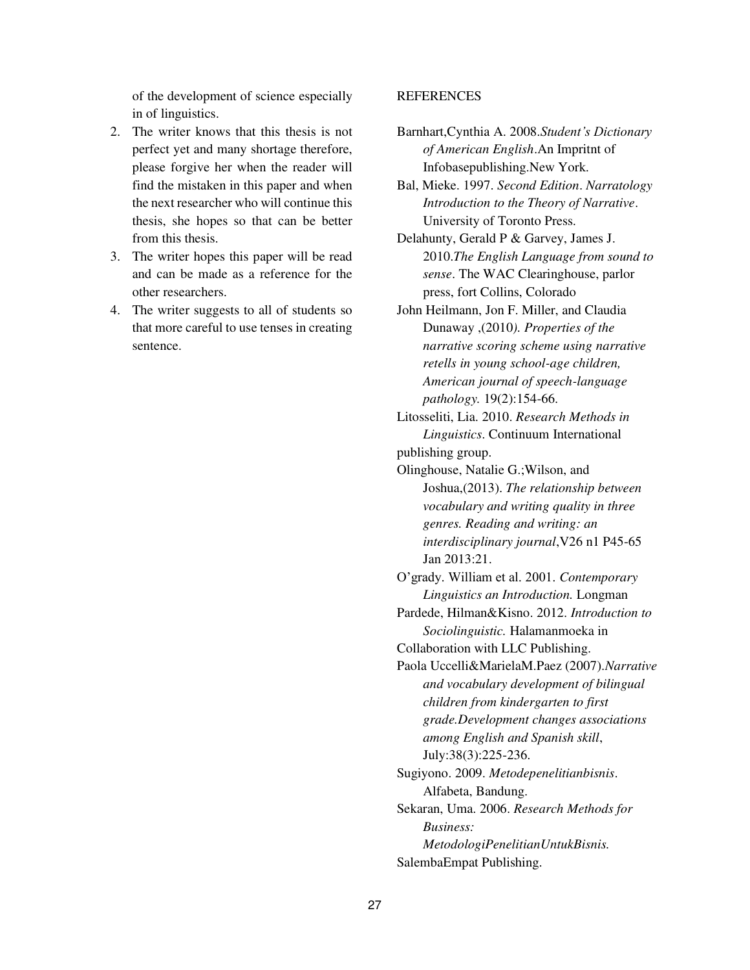of the development of science especially in of linguistics.

- 2. The writer knows that this thesis is not perfect yet and many shortage therefore, please forgive her when the reader will find the mistaken in this paper and when the next researcher who will continue this thesis, she hopes so that can be better from this thesis.
- 3. The writer hopes this paper will be read and can be made as a reference for the other researchers.
- 4. The writer suggests to all of students so that more careful to use tenses in creating sentence.

#### **REFERENCES**

- Barnhart,Cynthia A. 2008.*Student's Dictionary of American English*.An Impritnt of Infobasepublishing.New York.
- Bal, Mieke. 1997. *Second Edition*. *Narratology Introduction to the Theory of Narrative*. University of Toronto Press.

Delahunty, Gerald P & Garvey, James J. 2010.*The English Language from sound to sense*. The WAC Clearinghouse, parlor press, fort Collins, Colorado

John Heilmann, Jon F. Miller, and Claudia Dunaway ,(2010*). Properties of the narrative scoring scheme using narrative retells in young school-age children, American journal of speech-language pathology.* 19(2):154-66.

Litosseliti, Lia. 2010. *Research Methods in Linguistics*. Continuum International publishing group.

Olinghouse, Natalie G.;Wilson, and Joshua,(2013). *The relationship between vocabulary and writing quality in three genres. Reading and writing: an interdisciplinary journal*,V26 n1 P45-65 Jan 2013:21.

O'grady. William et al. 2001. *Contemporary Linguistics an Introduction.* Longman

Pardede, Hilman&Kisno. 2012. *Introduction to Sociolinguistic.* Halamanmoeka in

Collaboration with LLC Publishing.

Paola Uccelli&MarielaM.Paez (2007).*Narrative and vocabulary development of bilingual children from kindergarten to first grade.Development changes associations among English and Spanish skill*, July:38(3):225-236. Sugiyono. 2009. *Metodepenelitianbisnis*.

Alfabeta, Bandung. Sekaran, Uma. 2006. *Research Methods for* 

*Business: MetodologiPenelitianUntukBisnis.*  SalembaEmpat Publishing.